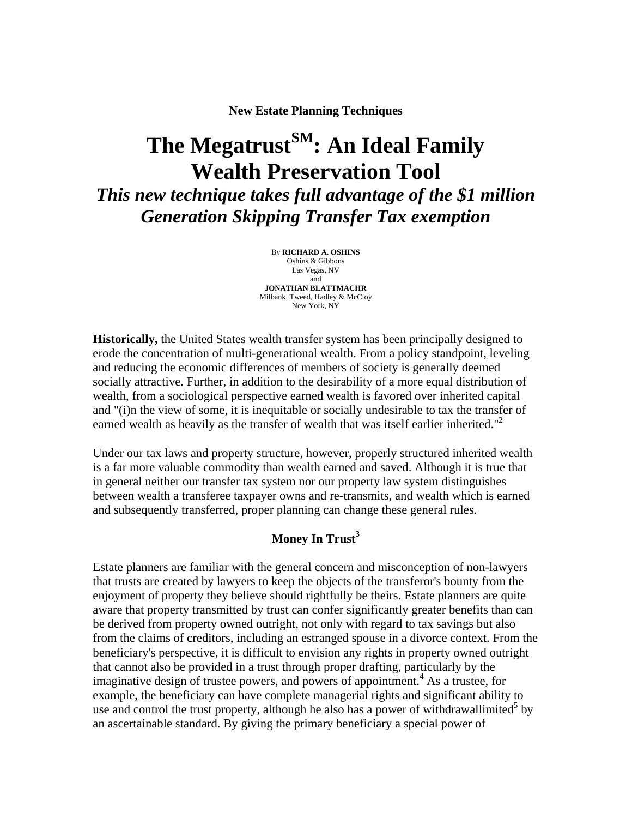**New Estate Planning Techniques** 

# The Megatrust<sup>SM</sup>: An Ideal Family **Wealth Preservation Tool** *This new technique takes full advantage of the \$1 million*

*Generation Skipping Transfer Tax exemption* 

By **RICHARD A. OSHINS**  Oshins & Gibbons Las Vegas, NV and **JONATHAN BLATTMACHR**  Milbank, Tweed, Hadley & McCloy New York, NY

**Historically,** the United States wealth transfer system has been principally designed to erode the concentration of multi-generational wealth. From a policy standpoint, leveling and reducing the economic differences of members of society is generally deemed socially attractive. Further, in addition to the desirability of a more equal distribution of wealth, from a sociological perspective earned wealth is favored over inherited capital and "(i)n the view of some, it is inequitable or socially undesirable to tax the transfer of earned wealth as heavily as the transfer of wealth that was itself earlier inherited."<sup>2</sup>

Under our tax laws and property structure, however, properly structured inherited wealth is a far more valuable commodity than wealth earned and saved. Although it is true that in general neither our transfer tax system nor our property law system distinguishes between wealth a transferee taxpayer owns and re-transmits, and wealth which is earned and subsequently transferred, proper planning can change these general rules.

## **Money In Trust<sup>3</sup>**

Estate planners are familiar with the general concern and misconception of non-lawyers that trusts are created by lawyers to keep the objects of the transferor's bounty from the enjoyment of property they believe should rightfully be theirs. Estate planners are quite aware that property transmitted by trust can confer significantly greater benefits than can be derived from property owned outright, not only with regard to tax savings but also from the claims of creditors, including an estranged spouse in a divorce context. From the beneficiary's perspective, it is difficult to envision any rights in property owned outright that cannot also be provided in a trust through proper drafting, particularly by the imaginative design of trustee powers, and powers of appointment.<sup>4</sup> As a trustee, for example, the beneficiary can have complete managerial rights and significant ability to use and control the trust property, although he also has a power of withdrawallimited<sup>5</sup> by an ascertainable standard. By giving the primary beneficiary a special power of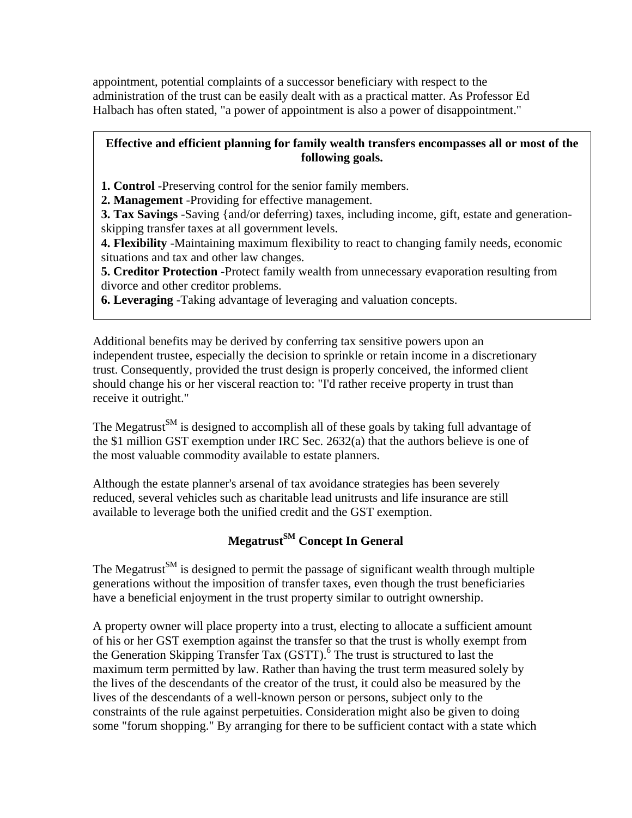appointment, potential complaints of a successor beneficiary with respect to the administration of the trust can be easily dealt with as a practical matter. As Professor Ed Halbach has often stated, "a power of appointment is also a power of disappointment."

## **Effective and efficient planning for family wealth transfers encompasses all or most of the following goals.**

**1. Control** -Preserving control for the senior family members.

**2. Management** -Providing for effective management.

**3. Tax Savings** -Saving {and/or deferring) taxes, including income, gift, estate and generationskipping transfer taxes at all government levels.

**4. Flexibility** -Maintaining maximum flexibility to react to changing family needs, economic situations and tax and other law changes.

**5. Creditor Protection** -Protect family wealth from unnecessary evaporation resulting from divorce and other creditor problems.

**6. Leveraging** -Taking advantage of leveraging and valuation concepts.

Additional benefits may be derived by conferring tax sensitive powers upon an independent trustee, especially the decision to sprinkle or retain income in a discretionary trust. Consequently, provided the trust design is properly conceived, the informed client should change his or her visceral reaction to: "I'd rather receive property in trust than receive it outright."

The Megatrust<sup>SM</sup> is designed to accomplish all of these goals by taking full advantage of the \$1 million GST exemption under IRC Sec. 2632(a) that the authors believe is one of the most valuable commodity available to estate planners.

Although the estate planner's arsenal of tax avoidance strategies has been severely reduced, several vehicles such as charitable lead unitrusts and life insurance are still available to leverage both the unified credit and the GST exemption.

# **Megatrust**<sup>SM</sup> Concept In General

The Megatrust<sup>SM</sup> is designed to permit the passage of significant wealth through multiple generations without the imposition of transfer taxes, even though the trust beneficiaries have a beneficial enjoyment in the trust property similar to outright ownership.

A property owner will place property into a trust, electing to allocate a sufficient amount of his or her GST exemption against the transfer so that the trust is wholly exempt from the Generation Skipping Transfer Tax (GSTT).<sup>6</sup> The trust is structured to last the maximum term permitted by law. Rather than having the trust term measured solely by the lives of the descendants of the creator of the trust, it could also be measured by the lives of the descendants of a well-known person or persons, subject only to the constraints of the rule against perpetuities. Consideration might also be given to doing some "forum shopping." By arranging for there to be sufficient contact with a state which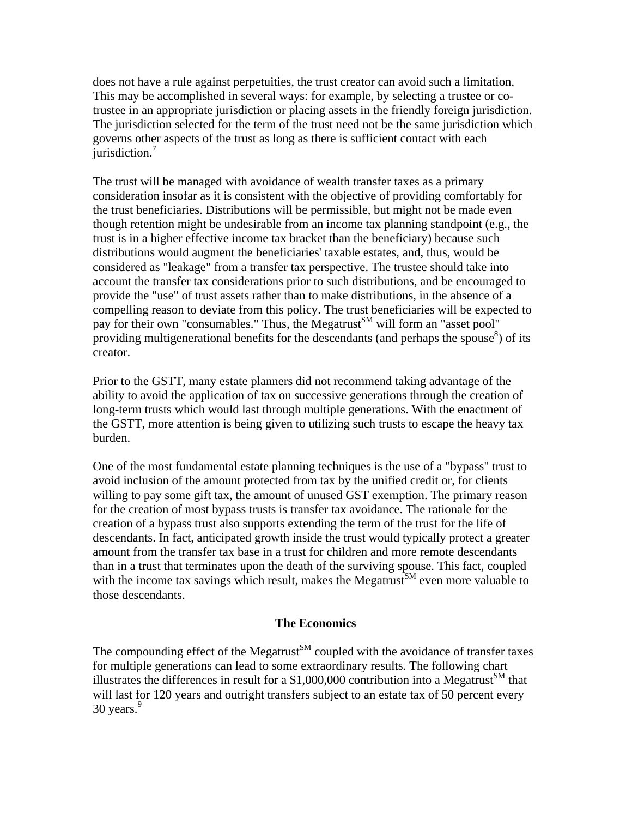does not have a rule against perpetuities, the trust creator can avoid such a limitation. This may be accomplished in several ways: for example, by selecting a trustee or cotrustee in an appropriate jurisdiction or placing assets in the friendly foreign jurisdiction. The jurisdiction selected for the term of the trust need not be the same jurisdiction which governs other aspects of the trust as long as there is sufficient contact with each jurisdiction.<sup>7</sup>

The trust will be managed with avoidance of wealth transfer taxes as a primary consideration insofar as it is consistent with the objective of providing comfortably for the trust beneficiaries. Distributions will be permissible, but might not be made even though retention might be undesirable from an income tax planning standpoint (e.g., the trust is in a higher effective income tax bracket than the beneficiary) because such distributions would augment the beneficiaries' taxable estates, and, thus, would be considered as "leakage" from a transfer tax perspective. The trustee should take into account the transfer tax considerations prior to such distributions, and be encouraged to provide the "use" of trust assets rather than to make distributions, in the absence of a compelling reason to deviate from this policy. The trust beneficiaries will be expected to pay for their own "consumables." Thus, the Megatrust<sup>SM</sup> will form an "asset pool" providing multigenerational benefits for the descendants (and perhaps the spouse $\delta$ ) of its creator.

Prior to the GSTT, many estate planners did not recommend taking advantage of the ability to avoid the application of tax on successive generations through the creation of long-term trusts which would last through multiple generations. With the enactment of the GSTT, more attention is being given to utilizing such trusts to escape the heavy tax burden.

One of the most fundamental estate planning techniques is the use of a "bypass" trust to avoid inclusion of the amount protected from tax by the unified credit or, for clients willing to pay some gift tax, the amount of unused GST exemption. The primary reason for the creation of most bypass trusts is transfer tax avoidance. The rationale for the creation of a bypass trust also supports extending the term of the trust for the life of descendants. In fact, anticipated growth inside the trust would typically protect a greater amount from the transfer tax base in a trust for children and more remote descendants than in a trust that terminates upon the death of the surviving spouse. This fact, coupled with the income tax savings which result, makes the Megatrust<sup>SM</sup> even more valuable to those descendants.

#### **The Economics**

The compounding effect of the Megatrust<sup>SM</sup> coupled with the avoidance of transfer taxes for multiple generations can lead to some extraordinary results. The following chart illustrates the differences in result for a \$1,000,000 contribution into a Megatrust<sup>SM</sup> that will last for 120 years and outright transfers subject to an estate tax of 50 percent every 30 years. $9$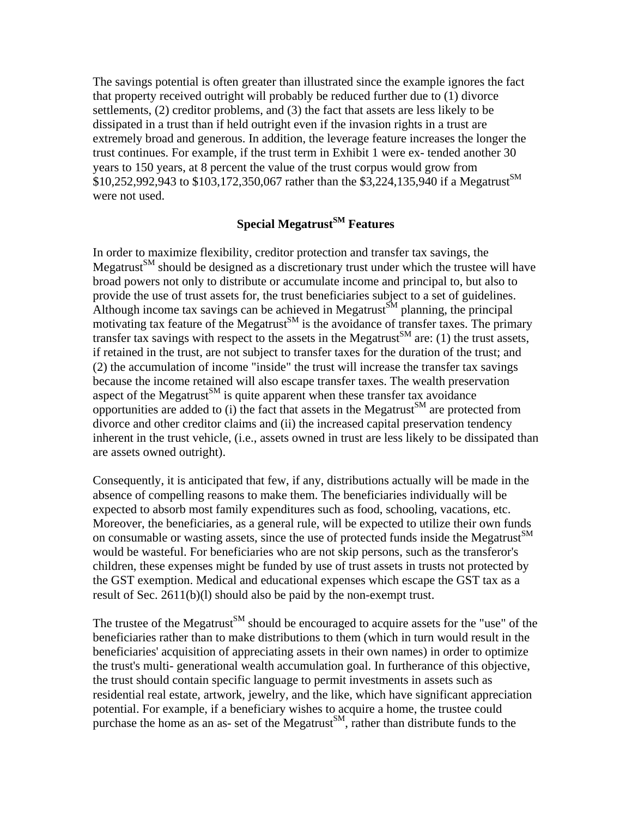The savings potential is often greater than illustrated since the example ignores the fact that property received outright will probably be reduced further due to (1) divorce settlements, (2) creditor problems, and (3) the fact that assets are less likely to be dissipated in a trust than if held outright even if the invasion rights in a trust are extremely broad and generous. In addition, the leverage feature increases the longer the trust continues. For example, if the trust term in Exhibit 1 were ex- tended another 30 years to 150 years, at 8 percent the value of the trust corpus would grow from  $$10,252,992,943$  to  $$103,172,350,067$  rather than the  $$3,224,135,940$  if a Megatrust<sup>SM</sup> were not used.

## **Special Megatrust<sup>SM</sup> Features**

In order to maximize flexibility, creditor protection and transfer tax savings, the Megatrust $\mathbb{S}^M$  should be designed as a discretionary trust under which the trustee will have broad powers not only to distribute or accumulate income and principal to, but also to provide the use of trust assets for, the trust beneficiaries subject to a set of guidelines. Although income tax savings can be achieved in Megatrust<sup>SM</sup> planning, the principal motivating tax feature of the Megatrust<sup>SM</sup> is the avoidance of transfer taxes. The primary transfer tax savings with respect to the assets in the Megatrust<sup>SM</sup> are: (1) the trust assets, if retained in the trust, are not subject to transfer taxes for the duration of the trust; and (2) the accumulation of income "inside" the trust will increase the transfer tax savings because the income retained will also escape transfer taxes. The wealth preservation aspect of the Megatrust<sup>SM</sup> is quite apparent when these transfer tax avoidance opportunities are added to (i) the fact that assets in the Megatrust<sup>SM</sup> are protected from divorce and other creditor claims and (ii) the increased capital preservation tendency inherent in the trust vehicle, (i.e., assets owned in trust are less likely to be dissipated than are assets owned outright).

Consequently, it is anticipated that few, if any, distributions actually will be made in the absence of compelling reasons to make them. The beneficiaries individually will be expected to absorb most family expenditures such as food, schooling, vacations, etc. Moreover, the beneficiaries, as a general rule, will be expected to utilize their own funds on consumable or wasting assets, since the use of protected funds inside the Megatrust $\mathbb{S}^M$ would be wasteful. For beneficiaries who are not skip persons, such as the transferor's children, these expenses might be funded by use of trust assets in trusts not protected by the GST exemption. Medical and educational expenses which escape the GST tax as a result of Sec. 2611(b)(l) should also be paid by the non-exempt trust.

The trustee of the Megatrust<sup>SM</sup> should be encouraged to acquire assets for the "use" of the beneficiaries rather than to make distributions to them (which in turn would result in the beneficiaries' acquisition of appreciating assets in their own names) in order to optimize the trust's multi- generational wealth accumulation goal. In furtherance of this objective, the trust should contain specific language to permit investments in assets such as residential real estate, artwork, jewelry, and the like, which have significant appreciation potential. For example, if a beneficiary wishes to acquire a home, the trustee could purchase the home as an as- set of the Megatrust<sup>SM</sup>, rather than distribute funds to the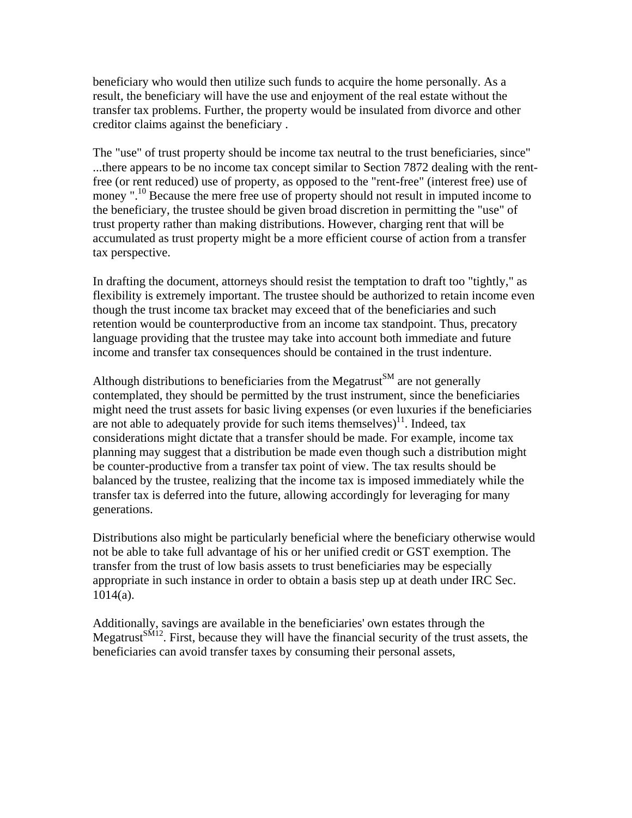beneficiary who would then utilize such funds to acquire the home personally. As a result, the beneficiary will have the use and enjoyment of the real estate without the transfer tax problems. Further, the property would be insulated from divorce and other creditor claims against the beneficiary .

The "use" of trust property should be income tax neutral to the trust beneficiaries, since" ...there appears to be no income tax concept similar to Section 7872 dealing with the rentfree (or rent reduced) use of property, as opposed to the "rent-free" (interest free) use of money ".<sup>10</sup> Because the mere free use of property should not result in imputed income to the beneficiary, the trustee should be given broad discretion in permitting the "use" of trust property rather than making distributions. However, charging rent that will be accumulated as trust property might be a more efficient course of action from a transfer tax perspective.

In drafting the document, attorneys should resist the temptation to draft too "tightly," as flexibility is extremely important. The trustee should be authorized to retain income even though the trust income tax bracket may exceed that of the beneficiaries and such retention would be counterproductive from an income tax standpoint. Thus, precatory language providing that the trustee may take into account both immediate and future income and transfer tax consequences should be contained in the trust indenture.

Although distributions to beneficiaries from the Megatrust<sup>SM</sup> are not generally contemplated, they should be permitted by the trust instrument, since the beneficiaries might need the trust assets for basic living expenses (or even luxuries if the beneficiaries are not able to adequately provide for such items themselves)<sup>11</sup>. Indeed, tax considerations might dictate that a transfer should be made. For example, income tax planning may suggest that a distribution be made even though such a distribution might be counter-productive from a transfer tax point of view. The tax results should be balanced by the trustee, realizing that the income tax is imposed immediately while the transfer tax is deferred into the future, allowing accordingly for leveraging for many generations.

Distributions also might be particularly beneficial where the beneficiary otherwise would not be able to take full advantage of his or her unified credit or GST exemption. The transfer from the trust of low basis assets to trust beneficiaries may be especially appropriate in such instance in order to obtain a basis step up at death under IRC Sec. 1014(a).

Additionally, savings are available in the beneficiaries' own estates through the Megatrust<sup>SM12</sup>. First, because they will have the financial security of the trust assets, the beneficiaries can avoid transfer taxes by consuming their personal assets,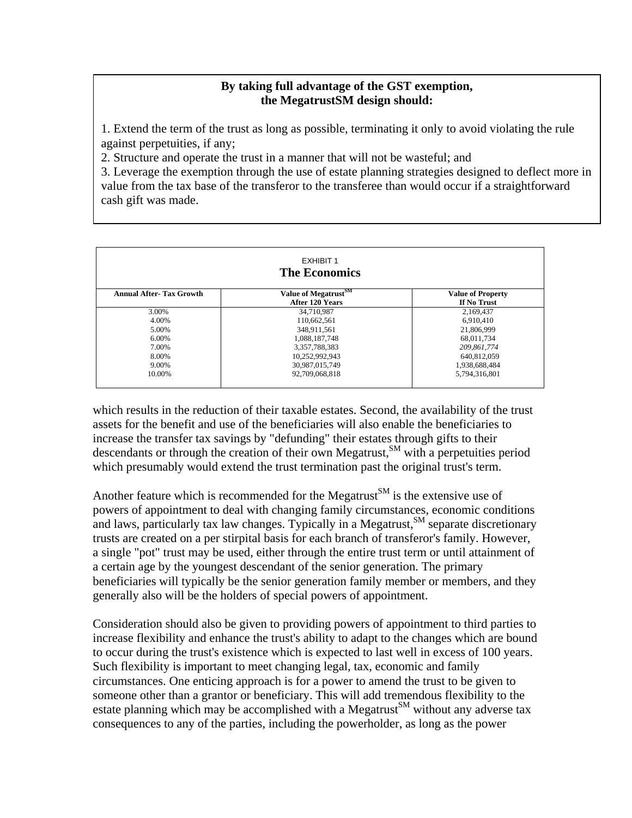#### **By taking full advantage of the GST exemption, the MegatrustSM design should:**

1. Extend the term of the trust as long as possible, terminating it only to avoid violating the rule against perpetuities, if any;

2. Structure and operate the trust in a manner that will not be wasteful; and

3. Leverage the exemption through the use of estate planning strategies designed to deflect more in value from the tax base of the transferor to the transferee than would occur if a straightforward cash gift was made.

| <b>EXHIBIT 1</b><br><b>The Economics</b> |                                                     |                                         |
|------------------------------------------|-----------------------------------------------------|-----------------------------------------|
| <b>Annual After-Tax Growth</b>           | Value of Megatrust <sup>SM</sup><br>After 120 Years | <b>Value of Property</b><br>If No Trust |
| 3.00%                                    | 34,710,987                                          | 2,169,437                               |
| 4.00%                                    | 110,662,561                                         | 6,910,410                               |
| 5.00%                                    | 348.911.561                                         | 21,806,999                              |
| $6.00\%$                                 | 1.088.187.748                                       | 68.011.734                              |
| 7.00%                                    | 3,357,788,383                                       | 209,861,774                             |
| 8.00%                                    | 10,252,992,943                                      | 640.812.059                             |
| 9.00%                                    | 30,987,015,749                                      | 1,938,688,484                           |
| 10.00%                                   | 92,709,068,818                                      | 5,794,316,801                           |

which results in the reduction of their taxable estates. Second, the availability of the trust assets for the benefit and use of the beneficiaries will also enable the beneficiaries to increase the transfer tax savings by "defunding" their estates through gifts to their descendants or through the creation of their own Megatrust, $^{SM}$  with a perpetuities period which presumably would extend the trust termination past the original trust's term.

Another feature which is recommended for the Megatrust<sup>SM</sup> is the extensive use of powers of appointment to deal with changing family circumstances, economic conditions and laws, particularly tax law changes. Typically in a Megatrust,  $^{SM}$  separate discretionary trusts are created on a per stirpital basis for each branch of transferor's family. However, a single "pot" trust may be used, either through the entire trust term or until attainment of a certain age by the youngest descendant of the senior generation. The primary beneficiaries will typically be the senior generation family member or members, and they generally also will be the holders of special powers of appointment.

Consideration should also be given to providing powers of appointment to third parties to increase flexibility and enhance the trust's ability to adapt to the changes which are bound to occur during the trust's existence which is expected to last well in excess of 100 years. Such flexibility is important to meet changing legal, tax, economic and family circumstances. One enticing approach is for a power to amend the trust to be given to someone other than a grantor or beneficiary. This will add tremendous flexibility to the estate planning which may be accomplished with a Megatrust<sup>SM</sup> without any adverse tax consequences to any of the parties, including the powerholder, as long as the power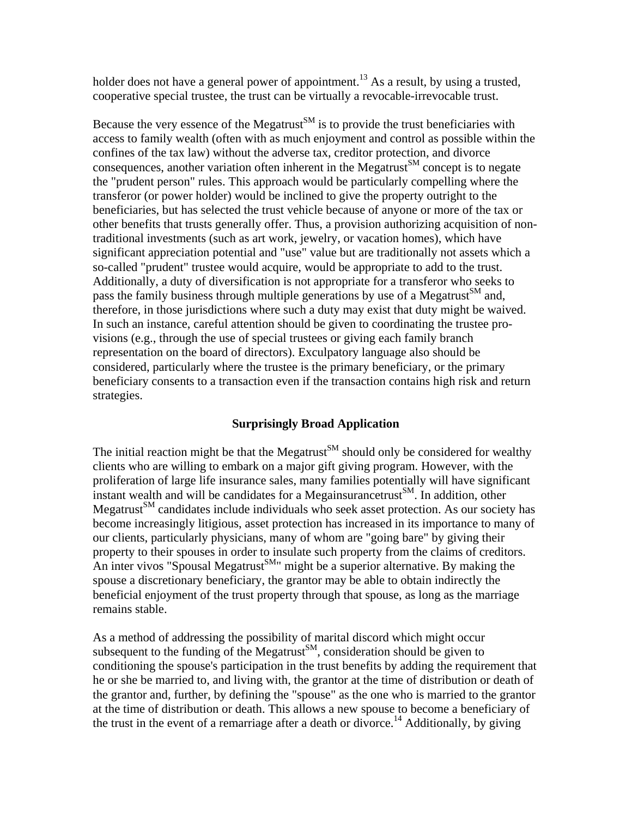holder does not have a general power of appointment.<sup>13</sup> As a result, by using a trusted, cooperative special trustee, the trust can be virtually a revocable-irrevocable trust.

Because the very essence of the Megatrust<sup>SM</sup> is to provide the trust beneficiaries with access to family wealth (often with as much enjoyment and control as possible within the confines of the tax law) without the adverse tax, creditor protection, and divorce consequences, another variation often inherent in the Megatrust<sup>SM</sup> concept is to negate the "prudent person" rules. This approach would be particularly compelling where the transferor (or power holder) would be inclined to give the property outright to the beneficiaries, but has selected the trust vehicle because of anyone or more of the tax or other benefits that trusts generally offer. Thus, a provision authorizing acquisition of nontraditional investments (such as art work, jewelry, or vacation homes), which have significant appreciation potential and "use" value but are traditionally not assets which a so-called "prudent" trustee would acquire, would be appropriate to add to the trust. Additionally, a duty of diversification is not appropriate for a transferor who seeks to pass the family business through multiple generations by use of a Megatrust<sup>SM</sup> and, therefore, in those jurisdictions where such a duty may exist that duty might be waived. In such an instance, careful attention should be given to coordinating the trustee provisions (e.g., through the use of special trustees or giving each family branch representation on the board of directors). Exculpatory language also should be considered, particularly where the trustee is the primary beneficiary, or the primary beneficiary consents to a transaction even if the transaction contains high risk and return strategies.

#### **Surprisingly Broad Application**

The initial reaction might be that the Megatrust<sup>SM</sup> should only be considered for wealthy clients who are willing to embark on a major gift giving program. However, with the proliferation of large life insurance sales, many families potentially will have significant instant wealth and will be candidates for a Megainsurance trust<sup>SM</sup>. In addition, other Megatrust $^{SM}$  candidates include individuals who seek asset protection. As our society has become increasingly litigious, asset protection has increased in its importance to many of our clients, particularly physicians, many of whom are "going bare" by giving their property to their spouses in order to insulate such property from the claims of creditors. An inter vivos "Spousal Megatrust<sup>SM</sup>" might be a superior alternative. By making the spouse a discretionary beneficiary, the grantor may be able to obtain indirectly the beneficial enjoyment of the trust property through that spouse, as long as the marriage remains stable.

As a method of addressing the possibility of marital discord which might occur subsequent to the funding of the Megatrust<sup>SM</sup>, consideration should be given to conditioning the spouse's participation in the trust benefits by adding the requirement that he or she be married to, and living with, the grantor at the time of distribution or death of the grantor and, further, by defining the "spouse" as the one who is married to the grantor at the time of distribution or death. This allows a new spouse to become a beneficiary of the trust in the event of a remarriage after a death or divorce.<sup>14</sup> Additionally, by giving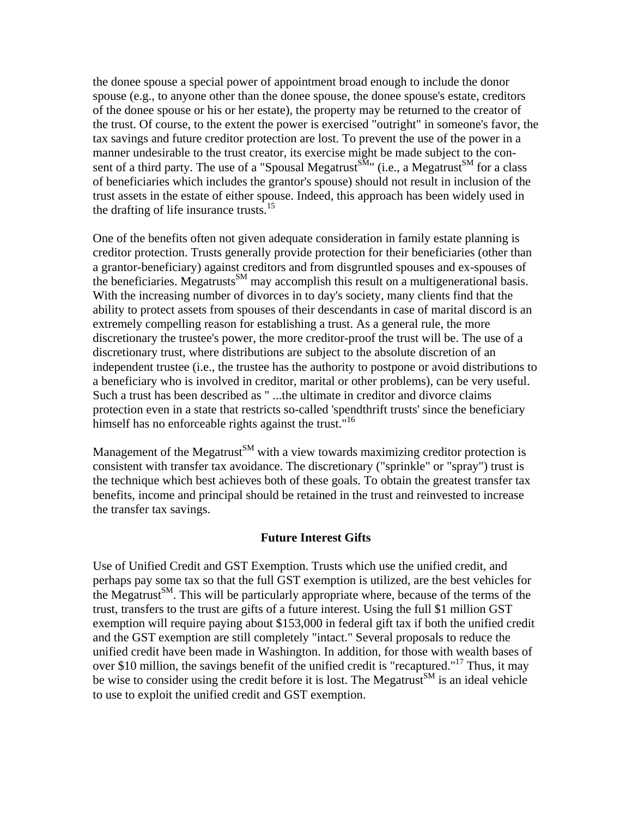the donee spouse a special power of appointment broad enough to include the donor spouse (e.g., to anyone other than the donee spouse, the donee spouse's estate, creditors of the donee spouse or his or her estate), the property may be returned to the creator of the trust. Of course, to the extent the power is exercised "outright" in someone's favor, the tax savings and future creditor protection are lost. To prevent the use of the power in a manner undesirable to the trust creator, its exercise might be made subject to the consent of a third party. The use of a "Spousal Megatrust<sup>SM</sup>" (i.e., a Megatrust<sup>SM</sup> for a class of beneficiaries which includes the grantor's spouse) should not result in inclusion of the trust assets in the estate of either spouse. Indeed, this approach has been widely used in the drafting of life insurance trusts.<sup>15</sup>

One of the benefits often not given adequate consideration in family estate planning is creditor protection. Trusts generally provide protection for their beneficiaries (other than a grantor-beneficiary) against creditors and from disgruntled spouses and ex-spouses of the beneficiaries. Megatrusts<sup>SM</sup> may accomplish this result on a multigenerational basis. With the increasing number of divorces in to day's society, many clients find that the ability to protect assets from spouses of their descendants in case of marital discord is an extremely compelling reason for establishing a trust. As a general rule, the more discretionary the trustee's power, the more creditor-proof the trust will be. The use of a discretionary trust, where distributions are subject to the absolute discretion of an independent trustee (i.e., the trustee has the authority to postpone or avoid distributions to a beneficiary who is involved in creditor, marital or other problems), can be very useful. Such a trust has been described as " ...the ultimate in creditor and divorce claims protection even in a state that restricts so-called 'spendthrift trusts' since the beneficiary himself has no enforceable rights against the trust."<sup>16</sup>

Management of the Megatrust<sup>SM</sup> with a view towards maximizing creditor protection is consistent with transfer tax avoidance. The discretionary ("sprinkle" or "spray") trust is the technique which best achieves both of these goals. To obtain the greatest transfer tax benefits, income and principal should be retained in the trust and reinvested to increase the transfer tax savings.

#### **Future Interest Gifts**

Use of Unified Credit and GST Exemption. Trusts which use the unified credit, and perhaps pay some tax so that the full GST exemption is utilized, are the best vehicles for the Megatrust<sup>SM</sup>. This will be particularly appropriate where, because of the terms of the trust, transfers to the trust are gifts of a future interest. Using the full \$1 million GST exemption will require paying about \$153,000 in federal gift tax if both the unified credit and the GST exemption are still completely "intact." Several proposals to reduce the unified credit have been made in Washington. In addition, for those with wealth bases of over \$10 million, the savings benefit of the unified credit is "recaptured."<sup>17</sup> Thus, it may be wise to consider using the credit before it is lost. The Megatrust<sup>SM</sup> is an ideal vehicle to use to exploit the unified credit and GST exemption.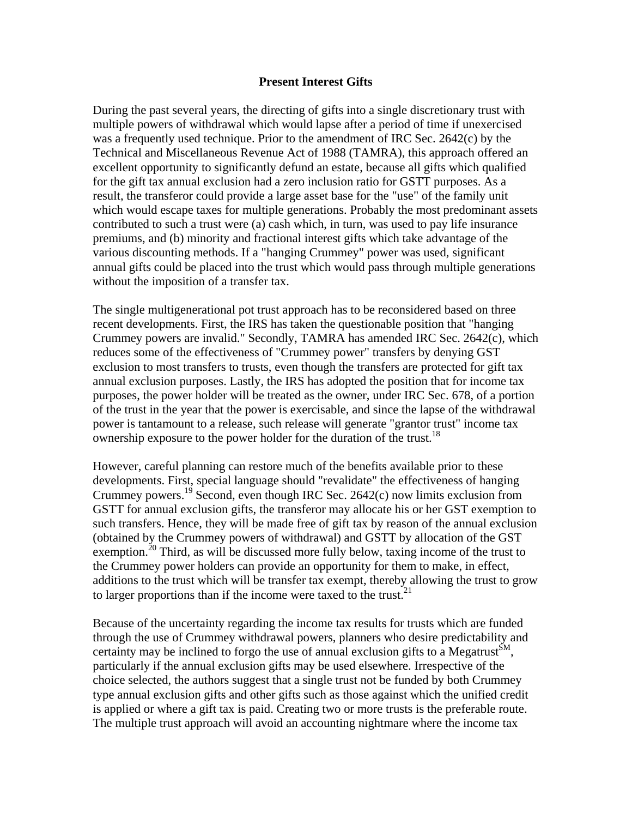#### **Present Interest Gifts**

During the past several years, the directing of gifts into a single discretionary trust with multiple powers of withdrawal which would lapse after a period of time if unexercised was a frequently used technique. Prior to the amendment of IRC Sec. 2642(c) by the Technical and Miscellaneous Revenue Act of 1988 (TAMRA), this approach offered an excellent opportunity to significantly defund an estate, because all gifts which qualified for the gift tax annual exclusion had a zero inclusion ratio for GSTT purposes. As a result, the transferor could provide a large asset base for the "use" of the family unit which would escape taxes for multiple generations. Probably the most predominant assets contributed to such a trust were (a) cash which, in turn, was used to pay life insurance premiums, and (b) minority and fractional interest gifts which take advantage of the various discounting methods. If a "hanging Crummey" power was used, significant annual gifts could be placed into the trust which would pass through multiple generations without the imposition of a transfer tax.

The single multigenerational pot trust approach has to be reconsidered based on three recent developments. First, the IRS has taken the questionable position that "hanging Crummey powers are invalid." Secondly, TAMRA has amended IRC Sec. 2642(c), which reduces some of the effectiveness of "Crummey power" transfers by denying GST exclusion to most transfers to trusts, even though the transfers are protected for gift tax annual exclusion purposes. Lastly, the IRS has adopted the position that for income tax purposes, the power holder will be treated as the owner, under IRC Sec. 678, of a portion of the trust in the year that the power is exercisable, and since the lapse of the withdrawal power is tantamount to a release, such release will generate "grantor trust" income tax ownership exposure to the power holder for the duration of the trust.<sup>18</sup>

However, careful planning can restore much of the benefits available prior to these developments. First, special language should "revalidate" the effectiveness of hanging Crummey powers.<sup>19</sup> Second, even though IRC Sec. 2642(c) now limits exclusion from GSTT for annual exclusion gifts, the transferor may allocate his or her GST exemption to such transfers. Hence, they will be made free of gift tax by reason of the annual exclusion (obtained by the Crummey powers of withdrawal) and GSTT by allocation of the GST exemption.<sup>20</sup> Third, as will be discussed more fully below, taxing income of the trust to the Crummey power holders can provide an opportunity for them to make, in effect, additions to the trust which will be transfer tax exempt, thereby allowing the trust to grow to larger proportions than if the income were taxed to the trust.<sup>21</sup>

Because of the uncertainty regarding the income tax results for trusts which are funded through the use of Crummey withdrawal powers, planners who desire predictability and certainty may be inclined to forgo the use of annual exclusion gifts to a Megatrust<sup>SM</sup>, particularly if the annual exclusion gifts may be used elsewhere. Irrespective of the choice selected, the authors suggest that a single trust not be funded by both Crummey type annual exclusion gifts and other gifts such as those against which the unified credit is applied or where a gift tax is paid. Creating two or more trusts is the preferable route. The multiple trust approach will avoid an accounting nightmare where the income tax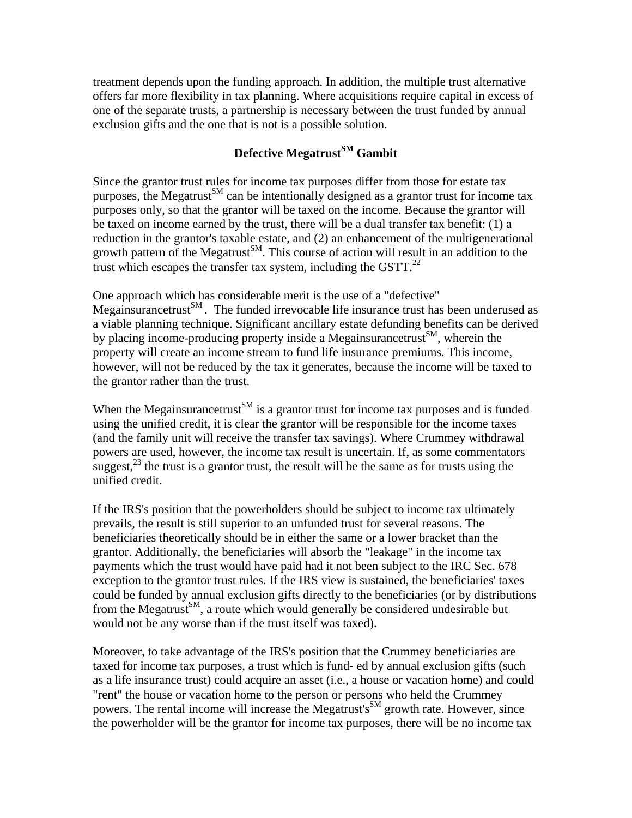treatment depends upon the funding approach. In addition, the multiple trust alternative offers far more flexibility in tax planning. Where acquisitions require capital in excess of one of the separate trusts, a partnership is necessary between the trust funded by annual exclusion gifts and the one that is not is a possible solution.

## **Defective Megatrust**<sup>SM</sup> Gambit

Since the grantor trust rules for income tax purposes differ from those for estate tax purposes, the Megatrust<sup>SM</sup> can be intentionally designed as a grantor trust for income tax purposes only, so that the grantor will be taxed on the income. Because the grantor will be taxed on income earned by the trust, there will be a dual transfer tax benefit: (1) a reduction in the grantor's taxable estate, and (2) an enhancement of the multigenerational growth pattern of the Megatrust<sup>SM</sup>. This course of action will result in an addition to the trust which escapes the transfer tax system, including the  $GSTT$ <sup>22</sup>

One approach which has considerable merit is the use of a "defective" Megainsurancetrust<sup>SM</sup>. The funded irrevocable life insurance trust has been underused as a viable planning technique. Significant ancillary estate defunding benefits can be derived by placing income-producing property inside a Megainsurance trust<sup>SM</sup>, wherein the property will create an income stream to fund life insurance premiums. This income, however, will not be reduced by the tax it generates, because the income will be taxed to the grantor rather than the trust.

When the Megainsurance trust<sup>SM</sup> is a grantor trust for income tax purposes and is funded using the unified credit, it is clear the grantor will be responsible for the income taxes (and the family unit will receive the transfer tax savings). Where Crummey withdrawal powers are used, however, the income tax result is uncertain. If, as some commentators suggest,  $^{23}$  the trust is a grantor trust, the result will be the same as for trusts using the unified credit.

If the IRS's position that the powerholders should be subject to income tax ultimately prevails, the result is still superior to an unfunded trust for several reasons. The beneficiaries theoretically should be in either the same or a lower bracket than the grantor. Additionally, the beneficiaries will absorb the "leakage" in the income tax payments which the trust would have paid had it not been subject to the IRC Sec. 678 exception to the grantor trust rules. If the IRS view is sustained, the beneficiaries' taxes could be funded by annual exclusion gifts directly to the beneficiaries (or by distributions from the Megatrust<sup>SM</sup>, a route which would generally be considered undesirable but would not be any worse than if the trust itself was taxed).

Moreover, to take advantage of the IRS's position that the Crummey beneficiaries are taxed for income tax purposes, a trust which is fund- ed by annual exclusion gifts (such as a life insurance trust) could acquire an asset (i.e., a house or vacation home) and could "rent" the house or vacation home to the person or persons who held the Crummey powers. The rental income will increase the Megatrust's<sup>SM</sup> growth rate. However, since the powerholder will be the grantor for income tax purposes, there will be no income tax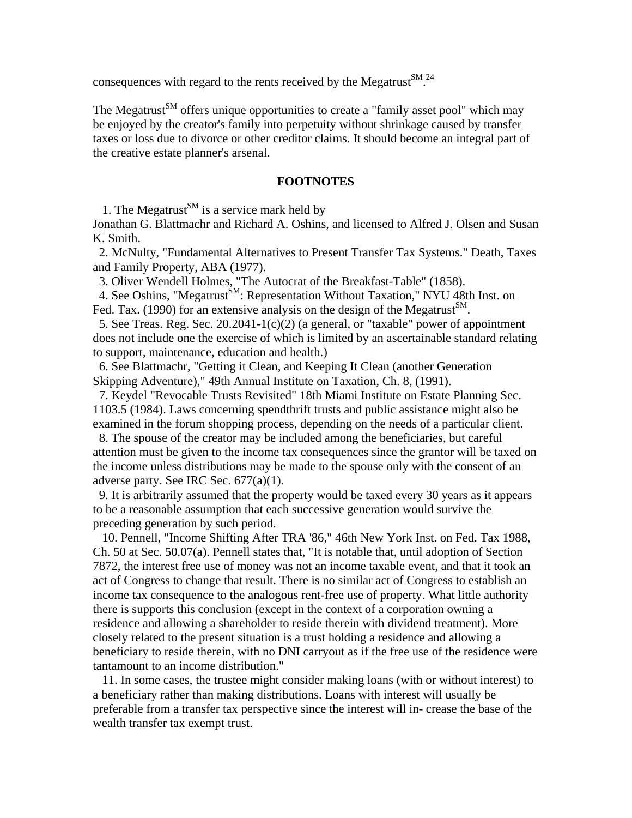consequences with regard to the rents received by the Megatrust  $\mathbb{S}^{M}$ .<sup>24</sup>

The Megatrust<sup>SM</sup> offers unique opportunities to create a "family asset pool" which may be enjoyed by the creator's family into perpetuity without shrinkage caused by transfer taxes or loss due to divorce or other creditor claims. It should become an integral part of the creative estate planner's arsenal.

#### **FOOTNOTES**

1. The Megatrust<sup>SM</sup> is a service mark held by

Jonathan G. Blattmachr and Richard A. Oshins, and licensed to Alfred J. Olsen and Susan K. Smith.

 2. McNulty, "Fundamental Alternatives to Present Transfer Tax Systems." Death, Taxes and Family Property, ABA (1977).

3. Oliver Wendell Holmes, "The Autocrat of the Breakfast-Table" (1858).

4. See Oshins, "Megatrust<sup>SM</sup>: Representation Without Taxation," NYU 48th Inst. on Fed. Tax. (1990) for an extensive analysis on the design of the Megatrust<sup>SM</sup>.

 5. See Treas. Reg. Sec. 20.2041-1(c)(2) (a general, or "taxable" power of appointment does not include one the exercise of which is limited by an ascertainable standard relating to support, maintenance, education and health.)

 6. See Blattmachr, "Getting it Clean, and Keeping It Clean (another Generation Skipping Adventure)," 49th Annual Institute on Taxation, Ch. 8, (1991).

 7. Keydel "Revocable Trusts Revisited" 18th Miami Institute on Estate Planning Sec. 1103.5 (1984). Laws concerning spendthrift trusts and public assistance might also be examined in the forum shopping process, depending on the needs of a particular client.

 8. The spouse of the creator may be included among the beneficiaries, but careful attention must be given to the income tax consequences since the grantor will be taxed on the income unless distributions may be made to the spouse only with the consent of an adverse party. See IRC Sec. 677(a)(1).

 9. It is arbitrarily assumed that the property would be taxed every 30 years as it appears to be a reasonable assumption that each successive generation would survive the preceding generation by such period.

 10. Pennell, "Income Shifting After TRA '86," 46th New York Inst. on Fed. Tax 1988, Ch. 50 at Sec. 50.07(a). Pennell states that, "It is notable that, until adoption of Section 7872, the interest free use of money was not an income taxable event, and that it took an act of Congress to change that result. There is no similar act of Congress to establish an income tax consequence to the analogous rent-free use of property. What little authority there is supports this conclusion (except in the context of a corporation owning a residence and allowing a shareholder to reside therein with dividend treatment). More closely related to the present situation is a trust holding a residence and allowing a beneficiary to reside therein, with no DNI carryout as if the free use of the residence were tantamount to an income distribution."

 11. In some cases, the trustee might consider making loans (with or without interest) to a beneficiary rather than making distributions. Loans with interest will usually be preferable from a transfer tax perspective since the interest will in- crease the base of the wealth transfer tax exempt trust.